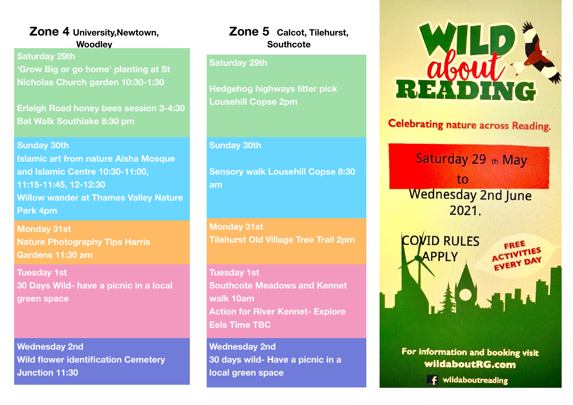## **Zone 4 University,Newtown, Woodley**

 **Saturday 29th 'Grow Big or go home' planting at St Nicholas Church garden 10:30-1:30** 

**Erleigh Road honey bees session 3-4:30 Bat Walk Southlake 8:30 pm**

**Sunday 30th Islamic art from nature Aisha Mosque and Islamic Centre 10:30-11:00, 11:15-11:45, 12-12:30 Willow wander at Thames Valley Nature Park 4pm** 

**Monday 31st Nature Photography Tips Harris Gardens 11:30 am** 

**Tuesday 1st 30 Days Wild- have a picnic in a local green space** 

**Wednesday 2nd Wild flower identification Cemetery Junction 11:30**

## **Zone 5 Calcot, Tilehurst, Southcote**

### **Saturday 29th**

**Hedgehog highways litter pick Lousehill Copse 2pm** 

#### **Sunday 30th**

**Sensory walk Lousehill Copse 8:30 am**

**Monday 31st Tilehurst Old Village Tree Trail 2pm** 

**Tuesday 1st Southcote Meadows and Kennet walk 10am Action for River Kennet- Explore Eels Time TBC** 

**Wednesday 2nd 30 days wild- Have a picnic in a local green space**



# **Celebrating nature across Reading.**

Saturday 29 th May to **Wednesday 2nd June**  $2021$ 



For information and booking visit wildaboutRG.com

**f** wildaboutreading